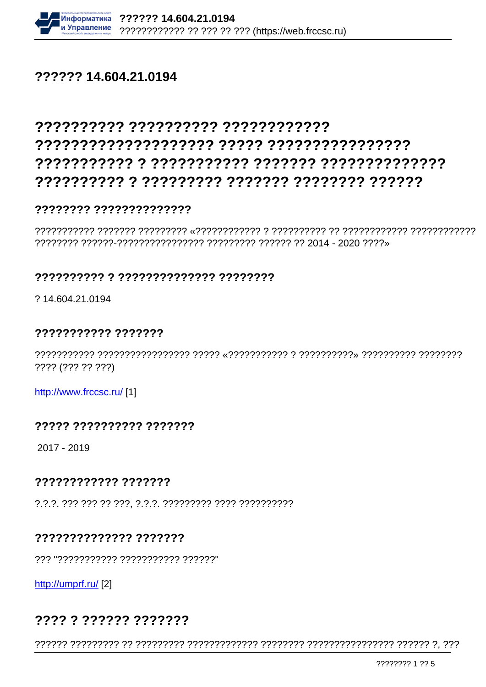### ?????? 14.604.21.0194

# ?????????? ????????? ????????????

### ???????? ??????????????

#### 7777777777 7 77777777777777 77777777

? 14.604.21.0194

#### ??????????? ???????

nanananan adamanyinya «canananananananananana» adamanyinya any diago danya danya ???? (??? ?? ???)

http://www.frccsc.ru/ [1]

#### ????? ?????????? ???????

2017 - 2019

#### ???????????? ???????

#### ?????????????? ???????

777 "77777777777 77777777777 777777"

http://umprf.ru/ [2]

## ???? ? ?????? ???????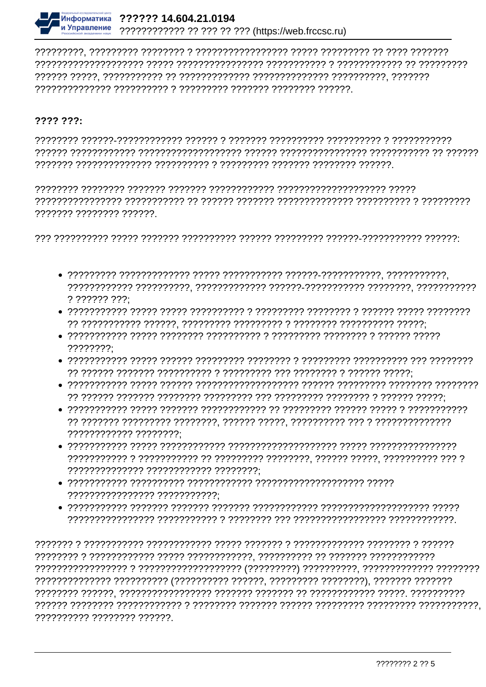

#### $???? ???$

- $? ? ? ? ? ? ? ? ? ? ? ?$
- 
- $2222222$
- 
- 
- ???????????? ????????
- ?????????????? ???????????? ????????
- ???????????????? ???????????
- 

?????????? ???????? ??????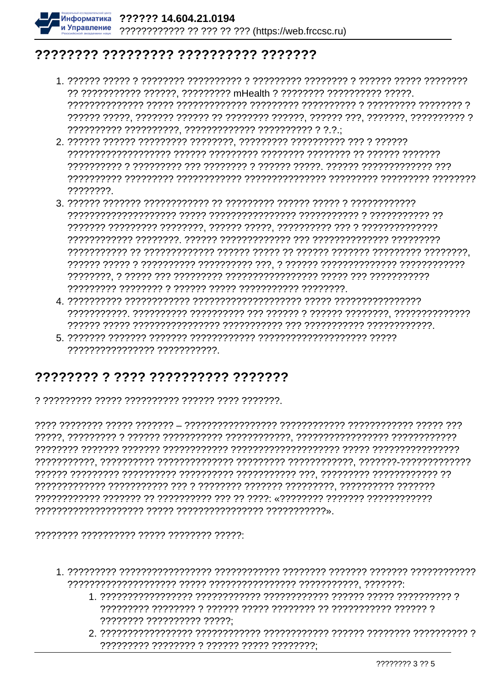

## ???????? ???????? ?????????? ???????

- ?? ??????????? ??????, ????????? mHealth ? ???????? ????????? ?????.
- , דרד דרדרדרדרדרדר דרדרדר רדרדר דרדרד דרדרדר רדרדרדר רדר דרדרדרדרדר ד דרדרדרדרדר , דרדרדרדר דרדרדרדרד דרדרדרד דרדרדרד דרדרדרדרדרדר דרדרדרדרדרד דרדרדרד דרדרדרדר ????????
- 
- 
- 7777777777777777 777777777777

## ???????? ? ???? ?????????? ???????

, רדר דרדרד דרדרדרדרדרדרד דרדרדרדרדרדר דרדרדרדרדרדרדרדרדר – דרדרדר דרדרד דרדרדר דרדר 

??????? ?????????? ????? ???????? ?????

- - , הררררר ררררדר דרך הררכון רב הררכורר ררכור ררכור ר 17777777 7777777777 77777
	-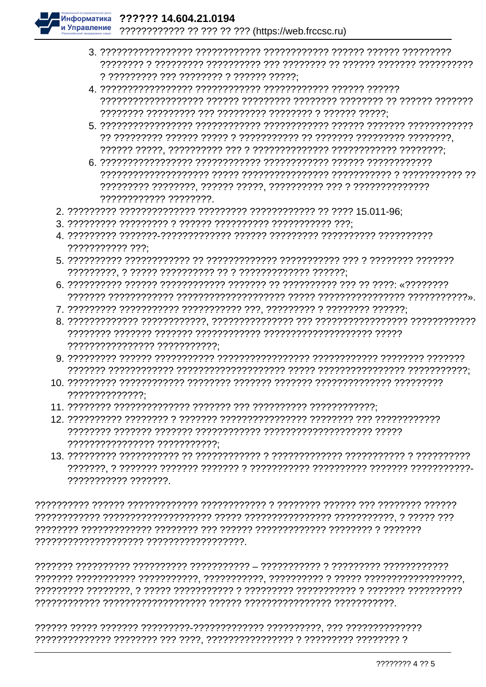Информатика и Управление

???????????? ?? ??? ?? ??? (https://web.frccsc.ru)

- ? ????????? ??? ???????? ? ?????? ?????
- 
- 
- 
- 
- 
- 
- 
- 
- 
- 7777777777777777 777777777777
- 
- ??????????????
- 
- 
- ??????????? ???????